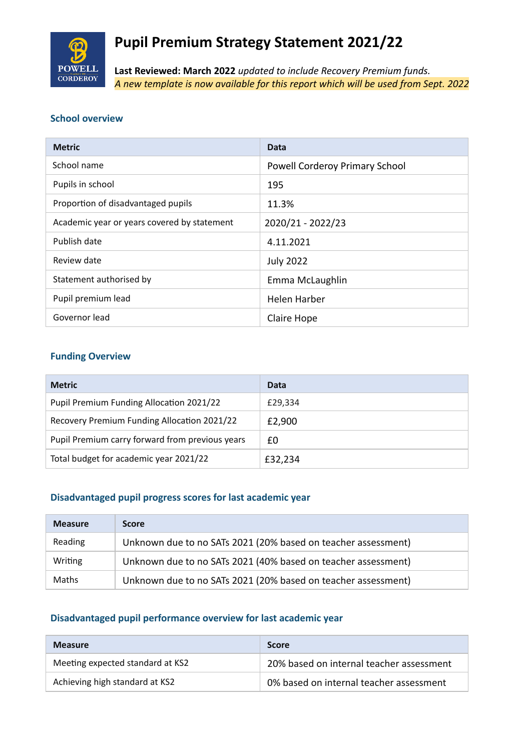

# **Pupil Premium Strategy Statement 2021/22**

**Last Reviewed: March 2022** *updated to include Recovery Premium funds. A new template is now available for this report which will be used from Sept. 2022*

#### **School overview**

| <b>Metric</b>                               | Data                           |
|---------------------------------------------|--------------------------------|
| School name                                 | Powell Corderoy Primary School |
| Pupils in school                            | 195                            |
| Proportion of disadvantaged pupils          | 11.3%                          |
| Academic year or years covered by statement | 2020/21 - 2022/23              |
| Publish date                                | 4.11.2021                      |
| Review date                                 | <b>July 2022</b>               |
| Statement authorised by                     | Emma McLaughlin                |
| Pupil premium lead                          | <b>Helen Harber</b>            |
| Governor lead                               | Claire Hope                    |

#### **Funding Overview**

| <b>Metric</b>                                   | Data    |
|-------------------------------------------------|---------|
| Pupil Premium Funding Allocation 2021/22        | £29,334 |
| Recovery Premium Funding Allocation 2021/22     | £2,900  |
| Pupil Premium carry forward from previous years | £0      |
| Total budget for academic year 2021/22          | £32,234 |

#### **Disadvantaged pupil progress scores for last academic year**

| <b>Measure</b> | <b>Score</b>                                                  |
|----------------|---------------------------------------------------------------|
| Reading        | Unknown due to no SATs 2021 (20% based on teacher assessment) |
| Writing        | Unknown due to no SATs 2021 (40% based on teacher assessment) |
| Maths          | Unknown due to no SATs 2021 (20% based on teacher assessment) |

#### **Disadvantaged pupil performance overview for last academic year**

| <b>Measure</b>                   | <b>Score</b>                             |
|----------------------------------|------------------------------------------|
| Meeting expected standard at KS2 | 20% based on internal teacher assessment |
| Achieving high standard at KS2   | 0% based on internal teacher assessment  |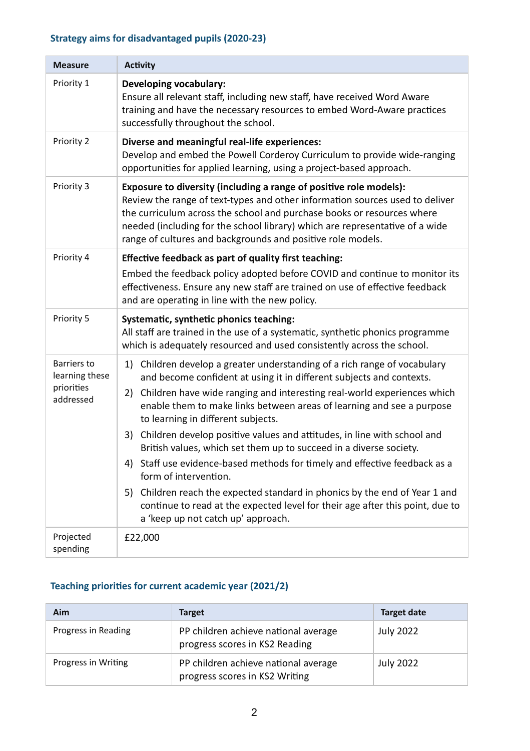## **Strategy aims for disadvantaged pupils (2020-23)**

| <b>Measure</b>                                                  | <b>Activity</b>                                                                                                                                                                                                                                                                                                                                                                                                                                                                                                                                                                                                                                                                                                                                                                                                          |
|-----------------------------------------------------------------|--------------------------------------------------------------------------------------------------------------------------------------------------------------------------------------------------------------------------------------------------------------------------------------------------------------------------------------------------------------------------------------------------------------------------------------------------------------------------------------------------------------------------------------------------------------------------------------------------------------------------------------------------------------------------------------------------------------------------------------------------------------------------------------------------------------------------|
| Priority 1                                                      | <b>Developing vocabulary:</b><br>Ensure all relevant staff, including new staff, have received Word Aware<br>training and have the necessary resources to embed Word-Aware practices<br>successfully throughout the school.                                                                                                                                                                                                                                                                                                                                                                                                                                                                                                                                                                                              |
| Priority 2                                                      | Diverse and meaningful real-life experiences:<br>Develop and embed the Powell Corderoy Curriculum to provide wide-ranging<br>opportunities for applied learning, using a project-based approach.                                                                                                                                                                                                                                                                                                                                                                                                                                                                                                                                                                                                                         |
| Priority 3                                                      | Exposure to diversity (including a range of positive role models):<br>Review the range of text-types and other information sources used to deliver<br>the curriculum across the school and purchase books or resources where<br>needed (including for the school library) which are representative of a wide<br>range of cultures and backgrounds and positive role models.                                                                                                                                                                                                                                                                                                                                                                                                                                              |
| Priority 4                                                      | Effective feedback as part of quality first teaching:<br>Embed the feedback policy adopted before COVID and continue to monitor its<br>effectiveness. Ensure any new staff are trained on use of effective feedback<br>and are operating in line with the new policy.                                                                                                                                                                                                                                                                                                                                                                                                                                                                                                                                                    |
| Priority 5                                                      | Systematic, synthetic phonics teaching:<br>All staff are trained in the use of a systematic, synthetic phonics programme<br>which is adequately resourced and used consistently across the school.                                                                                                                                                                                                                                                                                                                                                                                                                                                                                                                                                                                                                       |
| <b>Barriers to</b><br>learning these<br>priorities<br>addressed | 1) Children develop a greater understanding of a rich range of vocabulary<br>and become confident at using it in different subjects and contexts.<br>Children have wide ranging and interesting real-world experiences which<br>2)<br>enable them to make links between areas of learning and see a purpose<br>to learning in different subjects.<br>Children develop positive values and attitudes, in line with school and<br>3)<br>British values, which set them up to succeed in a diverse society.<br>Staff use evidence-based methods for timely and effective feedback as a<br>4)<br>form of intervention.<br>5) Children reach the expected standard in phonics by the end of Year 1 and<br>continue to read at the expected level for their age after this point, due to<br>a 'keep up not catch up' approach. |
| Projected<br>spending                                           | £22,000                                                                                                                                                                                                                                                                                                                                                                                                                                                                                                                                                                                                                                                                                                                                                                                                                  |

## Teaching priorities for current academic year (2021/2)

| Aim                 | <b>Target</b>                                                          | Target date      |
|---------------------|------------------------------------------------------------------------|------------------|
| Progress in Reading | PP children achieve national average<br>progress scores in KS2 Reading | <b>July 2022</b> |
| Progress in Writing | PP children achieve national average<br>progress scores in KS2 Writing | <b>July 2022</b> |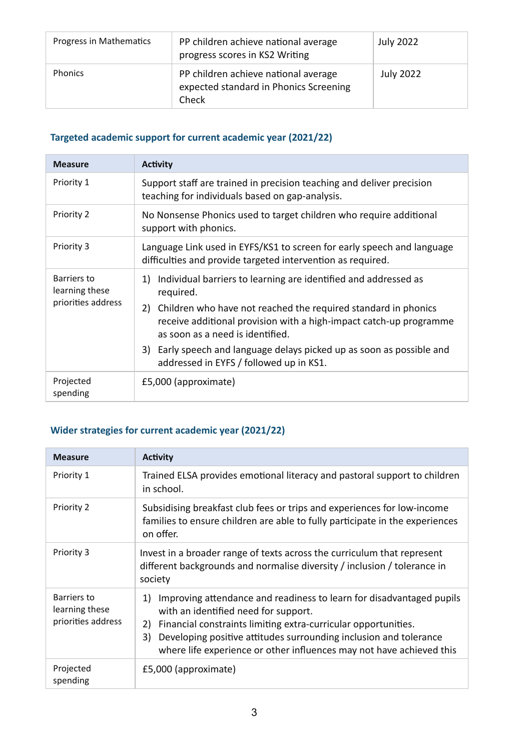| Progress in Mathematics | PP children achieve national average<br>progress scores in KS2 Writing                  | <b>July 2022</b> |
|-------------------------|-----------------------------------------------------------------------------------------|------------------|
| <b>Phonics</b>          | PP children achieve national average<br>expected standard in Phonics Screening<br>Check | <b>July 2022</b> |

## **Targeted academic support for current academic year (2021/22)**

| <b>Measure</b>                                      | <b>Activity</b>                                                                                                                                                                                                                                                                                                                                                                          |  |
|-----------------------------------------------------|------------------------------------------------------------------------------------------------------------------------------------------------------------------------------------------------------------------------------------------------------------------------------------------------------------------------------------------------------------------------------------------|--|
| Priority 1                                          | Support staff are trained in precision teaching and deliver precision<br>teaching for individuals based on gap-analysis.                                                                                                                                                                                                                                                                 |  |
| Priority 2                                          | No Nonsense Phonics used to target children who require additional<br>support with phonics.                                                                                                                                                                                                                                                                                              |  |
| Priority 3                                          | Language Link used in EYFS/KS1 to screen for early speech and language<br>difficulties and provide targeted intervention as required.                                                                                                                                                                                                                                                    |  |
| Barriers to<br>learning these<br>priorities address | 1) Individual barriers to learning are identified and addressed as<br>required.<br>Children who have not reached the required standard in phonics<br>2)<br>receive additional provision with a high-impact catch-up programme<br>as soon as a need is identified.<br>Early speech and language delays picked up as soon as possible and<br>3)<br>addressed in EYFS / followed up in KS1. |  |
| Projected<br>spending                               | £5,000 (approximate)                                                                                                                                                                                                                                                                                                                                                                     |  |

## **Wider strategies for current academic year (2021/22)**

| <b>Measure</b>                                      | <b>Activity</b>                                                                                                                                                                                                                                                                                                                               |
|-----------------------------------------------------|-----------------------------------------------------------------------------------------------------------------------------------------------------------------------------------------------------------------------------------------------------------------------------------------------------------------------------------------------|
| Priority 1                                          | Trained ELSA provides emotional literacy and pastoral support to children<br>in school.                                                                                                                                                                                                                                                       |
| Priority 2                                          | Subsidising breakfast club fees or trips and experiences for low-income<br>families to ensure children are able to fully participate in the experiences<br>on offer.                                                                                                                                                                          |
| Priority 3                                          | Invest in a broader range of texts across the curriculum that represent<br>different backgrounds and normalise diversity / inclusion / tolerance in<br>society                                                                                                                                                                                |
| Barriers to<br>learning these<br>priorities address | Improving attendance and readiness to learn for disadvantaged pupils<br>1)<br>with an identified need for support.<br>Financial constraints limiting extra-curricular opportunities.<br>2)<br>Developing positive attitudes surrounding inclusion and tolerance<br>3)<br>where life experience or other influences may not have achieved this |
| Projected<br>spending                               | £5,000 (approximate)                                                                                                                                                                                                                                                                                                                          |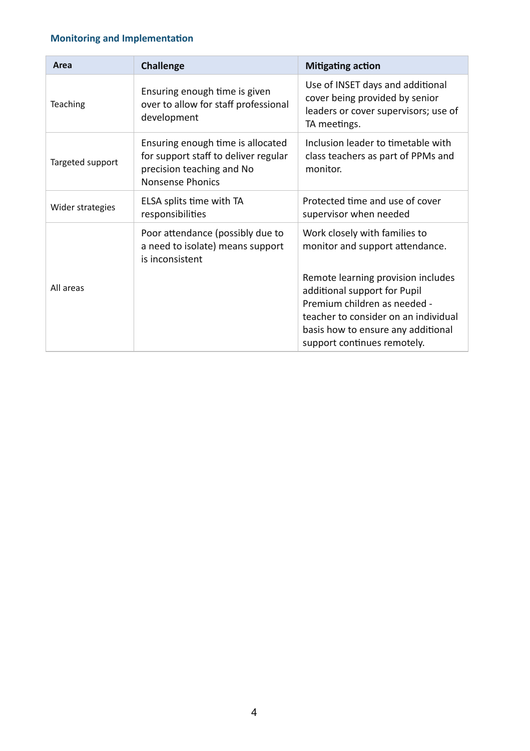## **Monitoring and Implementation**

| Area             | <b>Challenge</b>                                                                                                                  | <b>Mitigating action</b>                                                                                                                                                                                        |
|------------------|-----------------------------------------------------------------------------------------------------------------------------------|-----------------------------------------------------------------------------------------------------------------------------------------------------------------------------------------------------------------|
| Teaching         | Ensuring enough time is given<br>over to allow for staff professional<br>development                                              | Use of INSET days and additional<br>cover being provided by senior<br>leaders or cover supervisors; use of<br>TA meetings.                                                                                      |
| Targeted support | Ensuring enough time is allocated<br>for support staff to deliver regular<br>precision teaching and No<br><b>Nonsense Phonics</b> | Inclusion leader to timetable with<br>class teachers as part of PPMs and<br>monitor.                                                                                                                            |
| Wider strategies | ELSA splits time with TA<br>responsibilities                                                                                      | Protected time and use of cover<br>supervisor when needed                                                                                                                                                       |
|                  | Poor attendance (possibly due to<br>a need to isolate) means support<br>is inconsistent                                           | Work closely with families to<br>monitor and support attendance.                                                                                                                                                |
| All areas        |                                                                                                                                   | Remote learning provision includes<br>additional support for Pupil<br>Premium children as needed -<br>teacher to consider on an individual<br>basis how to ensure any additional<br>support continues remotely. |